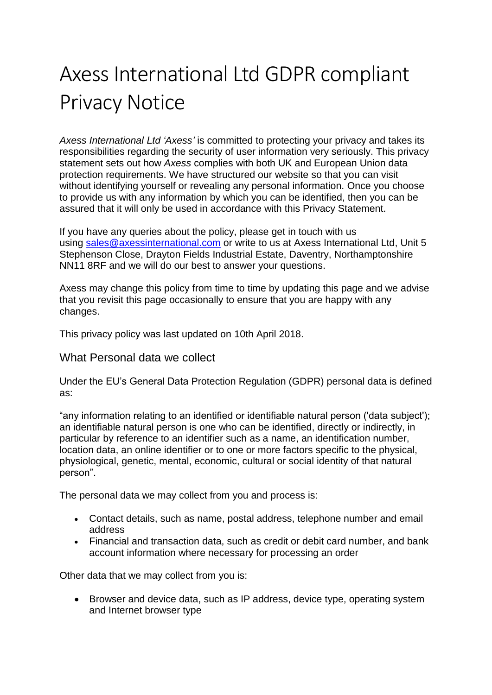# Axess International Ltd GDPR compliant Privacy Notice

*Axess International Ltd 'Axess'* is committed to protecting your privacy and takes its responsibilities regarding the security of user information very seriously. This privacy statement sets out how *Axess* complies with both UK and European Union data protection requirements. We have structured our website so that you can visit without identifying yourself or revealing any personal information. Once you choose to provide us with any information by which you can be identified, then you can be assured that it will only be used in accordance with this Privacy Statement.

If you have any queries about the policy, please get in touch with us using [sales@axessinternational.com](mailto:sales@axessinternational.com) or write to us at Axess International Ltd, Unit 5 Stephenson Close, Drayton Fields Industrial Estate, Daventry, Northamptonshire NN11 8RF and we will do our best to answer your questions.

Axess may change this policy from time to time by updating this page and we advise that you revisit this page occasionally to ensure that you are happy with any changes.

This privacy policy was last updated on 10th April 2018.

#### What Personal data we collect

Under the EU's General Data Protection Regulation (GDPR) personal data is defined as:

"any information relating to an identified or identifiable natural person ('data subject'); an identifiable natural person is one who can be identified, directly or indirectly, in particular by reference to an identifier such as a name, an identification number, location data, an online identifier or to one or more factors specific to the physical, physiological, genetic, mental, economic, cultural or social identity of that natural person".

The personal data we may collect from you and process is:

- Contact details, such as name, postal address, telephone number and email address
- Financial and transaction data, such as credit or debit card number, and bank account information where necessary for processing an order

Other data that we may collect from you is:

• Browser and device data, such as IP address, device type, operating system and Internet browser type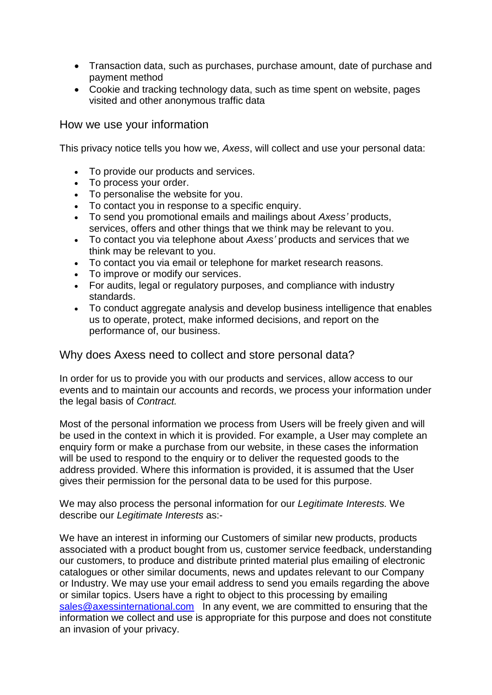- Transaction data, such as purchases, purchase amount, date of purchase and payment method
- Cookie and tracking technology data, such as time spent on website, pages visited and other anonymous traffic data

### How we use your information

This privacy notice tells you how we, *Axess*, will collect and use your personal data:

- To provide our products and services.
- To process your order.
- To personalise the website for you.
- To contact you in response to a specific enquiry.
- To send you promotional emails and mailings about *Axess'* products, services, offers and other things that we think may be relevant to you.
- To contact you via telephone about *Axess'* products and services that we think may be relevant to you.
- To contact you via email or telephone for market research reasons.
- To improve or modify our services.
- For audits, legal or regulatory purposes, and compliance with industry standards.
- To conduct aggregate analysis and develop business intelligence that enables us to operate, protect, make informed decisions, and report on the performance of, our business.

# Why does Axess need to collect and store personal data?

In order for us to provide you with our products and services, allow access to our events and to maintain our accounts and records, we process your information under the legal basis of *Contract.*

Most of the personal information we process from Users will be freely given and will be used in the context in which it is provided. For example, a User may complete an enquiry form or make a purchase from our website, in these cases the information will be used to respond to the enquiry or to deliver the requested goods to the address provided. Where this information is provided, it is assumed that the User gives their permission for the personal data to be used for this purpose.

We may also process the personal information for our *Legitimate Interests.* We describe our *Legitimate Interests* as:-

We have an interest in informing our Customers of similar new products, products associated with a product bought from us, customer service feedback, understanding our customers, to produce and distribute printed material plus emailing of electronic catalogues or other similar documents, news and updates relevant to our Company or Industry. We may use your email address to send you emails regarding the above or similar topics. Users have a right to object to this processing by emailing [sales@axessinternational.com](mailto:sales@axessinternational.com.) In any event, we are committed to ensuring that the information we collect and use is appropriate for this purpose and does not constitute an invasion of your privacy.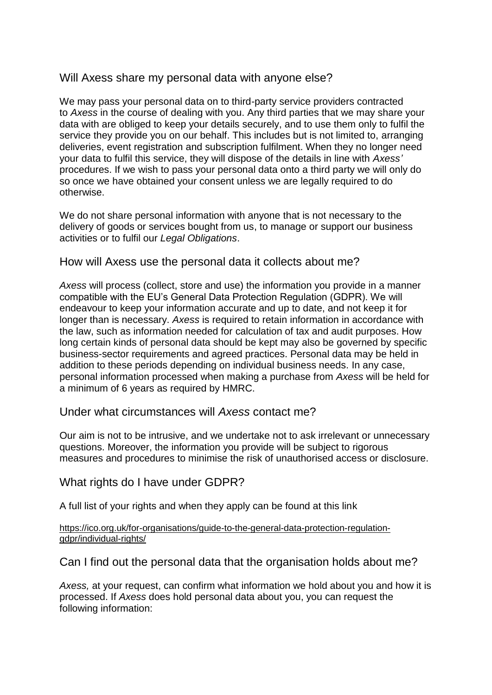# Will Axess share my personal data with anyone else?

We may pass your personal data on to third-party service providers contracted to *Axess* in the course of dealing with you. Any third parties that we may share your data with are obliged to keep your details securely, and to use them only to fulfil the service they provide you on our behalf. This includes but is not limited to, arranging deliveries, event registration and subscription fulfilment. When they no longer need your data to fulfil this service, they will dispose of the details in line with *Axess'*  procedures. If we wish to pass your personal data onto a third party we will only do so once we have obtained your consent unless we are legally required to do otherwise.

We do not share personal information with anyone that is not necessary to the delivery of goods or services bought from us, to manage or support our business activities or to fulfil our *Legal Obligations*.

#### How will Axess use the personal data it collects about me?

*Axess* will process (collect, store and use) the information you provide in a manner compatible with the EU's General Data Protection Regulation (GDPR). We will endeavour to keep your information accurate and up to date, and not keep it for longer than is necessary. *Axess* is required to retain information in accordance with the law, such as information needed for calculation of tax and audit purposes. How long certain kinds of personal data should be kept may also be governed by specific business-sector requirements and agreed practices. Personal data may be held in addition to these periods depending on individual business needs. In any case, personal information processed when making a purchase from *Axess* will be held for a minimum of 6 years as required by HMRC.

# Under what circumstances will *Axess* contact me?

Our aim is not to be intrusive, and we undertake not to ask irrelevant or unnecessary questions. Moreover, the information you provide will be subject to rigorous measures and procedures to minimise the risk of unauthorised access or disclosure.

# What rights do I have under GDPR?

A full list of your rights and when they apply can be found at this link

#### [https://ico.org.uk/for-organisations/guide-to-the-general-data-protection-regulation](https://ico.org.uk/for-organisations/guide-to-the-general-data-protection-regulation-gdpr/individual-rights/)[gdpr/individual-rights/](https://ico.org.uk/for-organisations/guide-to-the-general-data-protection-regulation-gdpr/individual-rights/)

# Can I find out the personal data that the organisation holds about me?

*Axess,* at your request, can confirm what information we hold about you and how it is processed. If *Axess* does hold personal data about you, you can request the following information: